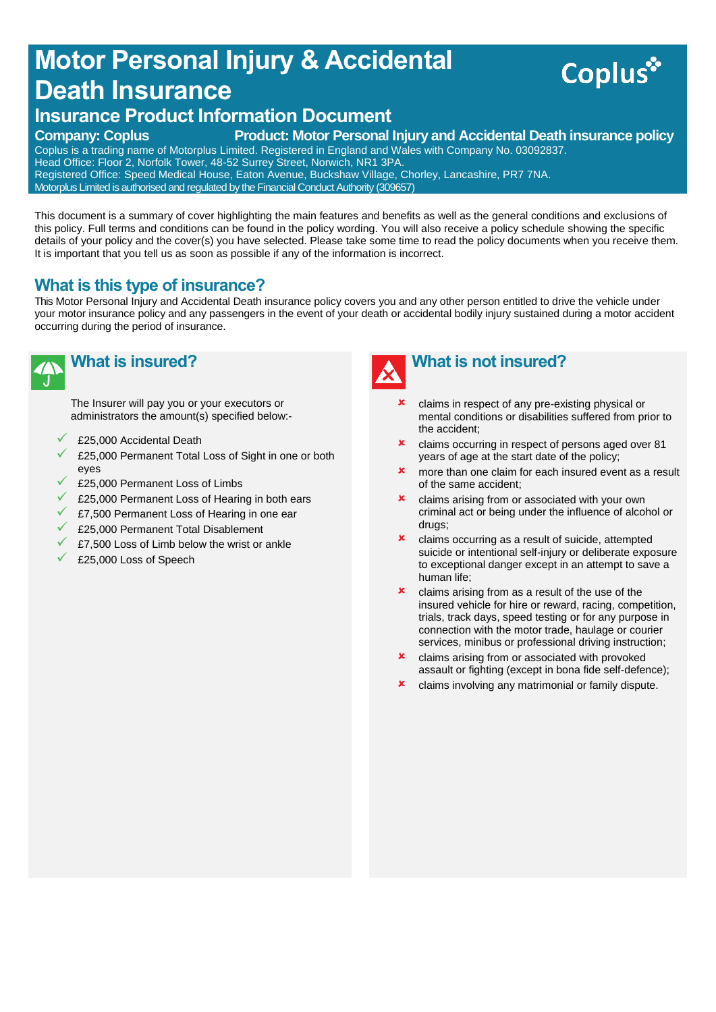# **Motor Personal Injury & Accidental Death Insurance**



# **Insurance Product Information Document**

#### **Company: Coplus Product: Motor Personal Injury and Accidental Death insurance policy**

Coplus is a trading name of Motorplus Limited. Registered in England and Wales with Company No. 03092837. Head Office: Floor 2, Norfolk Tower, 48-52 Surrey Street, Norwich, NR1 3PA. Registered Office: Speed Medical House, Eaton Avenue, Buckshaw Village, Chorley, Lancashire, PR7 7NA. Motorplus Limited is authorised and regulated by the Financial Conduct Authority (309657)

This document is a summary of cover highlighting the main features and benefits as well as the general conditions and exclusions of this policy. Full terms and conditions can be found in the policy wording. You will also receive a policy schedule showing the specific details of your policy and the cover(s) you have selected. Please take some time to read the policy documents when you receive them. It is important that you tell us as soon as possible if any of the information is incorrect.

# **What is this type of insurance?**

This Motor Personal Injury and Accidental Death insurance policy covers you and any other person entitled to drive the vehicle under your motor insurance policy and any passengers in the event of your death or accidental bodily injury sustained during a motor accident occurring during the period of insurance.



# **What is insured?**

The Insurer will pay you or your executors or administrators the amount(s) specified below:-

- £25,000 Accidental Death
- £25,000 Permanent Total Loss of Sight in one or both eyes
- £25,000 Permanent Loss of Limbs
- £25,000 Permanent Loss of Hearing in both ears
- £7,500 Permanent Loss of Hearing in one ear
- £25,000 Permanent Total Disablement
- £7,500 Loss of Limb below the wrist or ankle
- £25,000 Loss of Speech



- claims in respect of any pre-existing physical or mental conditions or disabilities suffered from prior to the accident;
- claims occurring in respect of persons aged over 81 years of age at the start date of the policy;
- **x** more than one claim for each insured event as a result of the same accident;
- **x** claims arising from or associated with your own criminal act or being under the influence of alcohol or drugs;
- **x** claims occurring as a result of suicide, attempted suicide or intentional self-injury or deliberate exposure to exceptional danger except in an attempt to save a human life;
- **x** claims arising from as a result of the use of the insured vehicle for hire or reward, racing, competition, trials, track days, speed testing or for any purpose in connection with the motor trade, haulage or courier services, minibus or professional driving instruction;
- **x** claims arising from or associated with provoked assault or fighting (except in bona fide self-defence);
- **x** claims involving any matrimonial or family dispute.